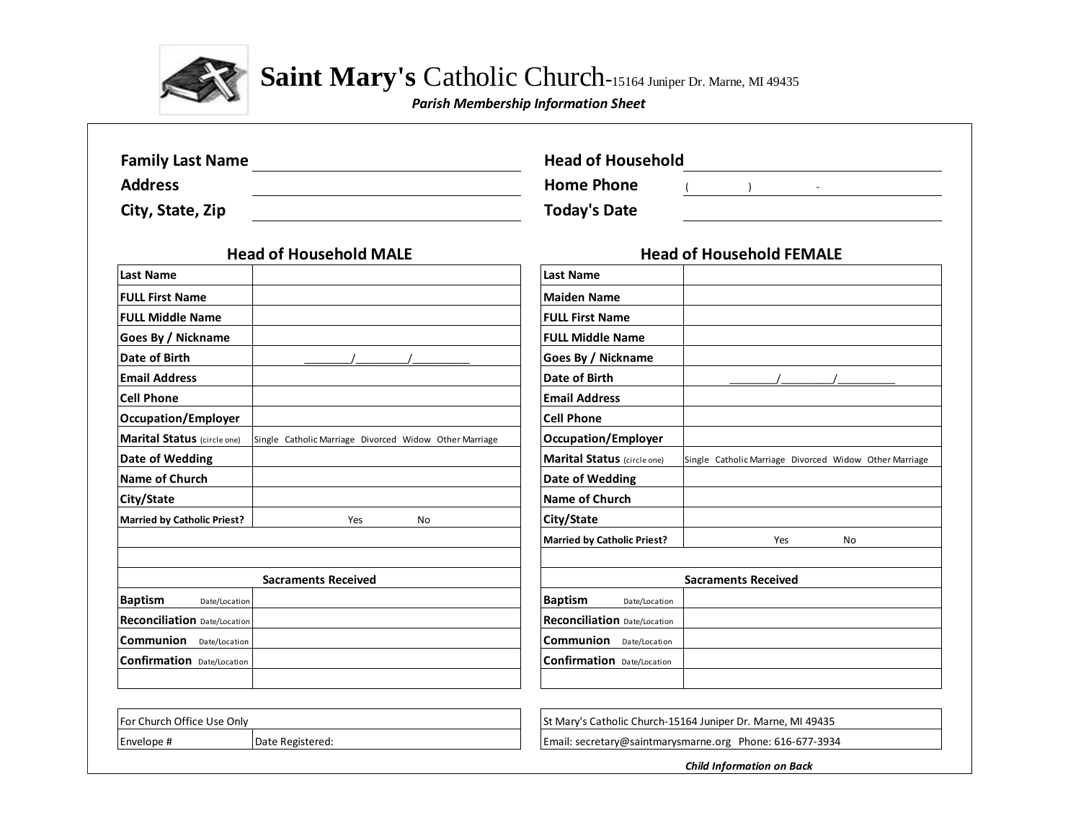

Saint Mary's Catholic Church-15164 Juniper Dr. Marne, MI 49435

*Parish Membership Information Sheet*

| <b>Family Last Name</b>                                                                      | <b>Head of Household</b>                                                                     |  |  |  |  |
|----------------------------------------------------------------------------------------------|----------------------------------------------------------------------------------------------|--|--|--|--|
| <b>Address</b>                                                                               | <b>Home Phone</b>                                                                            |  |  |  |  |
| City, State, Zip                                                                             | <b>Today's Date</b>                                                                          |  |  |  |  |
| <b>Head of Household MALE</b>                                                                | <b>Head of Household FEMALE</b>                                                              |  |  |  |  |
| <b>Last Name</b>                                                                             | <b>Last Name</b>                                                                             |  |  |  |  |
| <b>FULL First Name</b>                                                                       | <b>Maiden Name</b>                                                                           |  |  |  |  |
| <b>FULL Middle Name</b>                                                                      | <b>FULL First Name</b>                                                                       |  |  |  |  |
| Goes By / Nickname                                                                           | <b>FULL Middle Name</b>                                                                      |  |  |  |  |
| Date of Birth                                                                                | Goes By / Nickname                                                                           |  |  |  |  |
| <b>Email Address</b>                                                                         | Date of Birth                                                                                |  |  |  |  |
| <b>Cell Phone</b>                                                                            | <b>Email Address</b>                                                                         |  |  |  |  |
| <b>Occupation/Employer</b>                                                                   | <b>Cell Phone</b>                                                                            |  |  |  |  |
| <b>Marital Status</b> (circle one)<br>Single Catholic Marriage Divorced Widow Other Marriage | <b>Occupation/Employer</b>                                                                   |  |  |  |  |
| Date of Wedding                                                                              | <b>Marital Status</b> (circle one)<br>Single Catholic Marriage Divorced Widow Other Marriage |  |  |  |  |
| Name of Church                                                                               | <b>Date of Wedding</b>                                                                       |  |  |  |  |
| City/State                                                                                   | <b>Name of Church</b>                                                                        |  |  |  |  |
| <b>Married by Catholic Priest?</b><br><b>No</b><br>Yes                                       | City/State                                                                                   |  |  |  |  |
|                                                                                              | <b>Married by Catholic Priest?</b><br>Yes<br>No                                              |  |  |  |  |
| <b>Sacraments Received</b>                                                                   | <b>Sacraments Received</b>                                                                   |  |  |  |  |
| <b>Baptism</b><br>Date/Location                                                              | <b>Baptism</b><br>Date/Location                                                              |  |  |  |  |
| Reconciliation Date/Location                                                                 | Reconciliation Date/Location                                                                 |  |  |  |  |
| <b>Communion</b> Date/Location                                                               | <b>Communion</b> Date/Location                                                               |  |  |  |  |
| <b>Confirmation</b> Date/Location                                                            | <b>Confirmation</b> Date/Location                                                            |  |  |  |  |
|                                                                                              |                                                                                              |  |  |  |  |
| For Church Office Use Only                                                                   | St Mary's Catholic Church-15164 Juniper Dr. Marne, MI 49435                                  |  |  |  |  |
| Envelope #<br>Date Registered:                                                               | Email: secretary@saintmarysmarne.org Phone: 616-677-3934                                     |  |  |  |  |

*Child Information on Back*